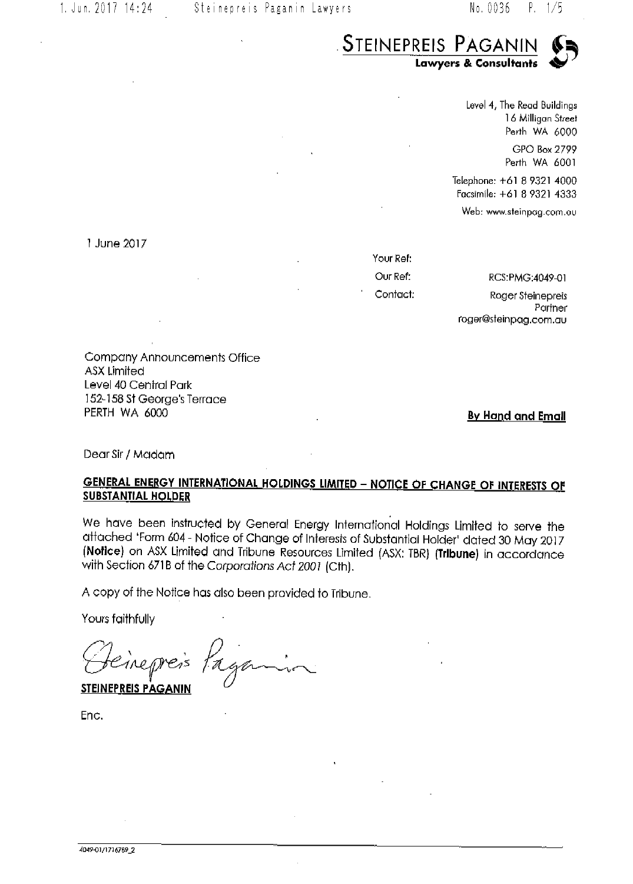

Level 4, The Read Buildings 16 Milligan Street Perth WA 6000 GPO Box 2799 Perth WA 6001

Telephone: +61 8 9321 4000 Facsimile: +61 8 9321 4333

Web: www.steinpag.com.ou

1 June 2017

Your Ref: Our Ref: Contact:

RCS:PMG:4049-01 Roger Steinepreis Partner roger@steinpag.com.au

Company Announcements Office ASX Limited Level 40 Central Park 152-158 St George's Terrace PERTH WA 6000

By Hand and Email

Dear Sir / Madam

# **GENERAL ENERGY INTERNATIONAL HOLDINGS LIMITED - NOTICE OF CHANGE OF INTERESTS OF SUBSTANTIAL HOLDER**

We have been instructed by General Energy International Holdings Limited to serve the attached 'Form 604 - Notice of Change of Interests of Substantial Holder' dated 30 May 2017 (Notice) on ASX Limited and Tribune Resources Limited (ASX: TBR) (Tribune) in accordance with Section 671B of the Corporations Act 2001 (Cth).

A copy of the Notice has also been provided to Tribune.

Yours faithfully

Pagamin

**STEINEPREIS PAGANIN** 

Enc.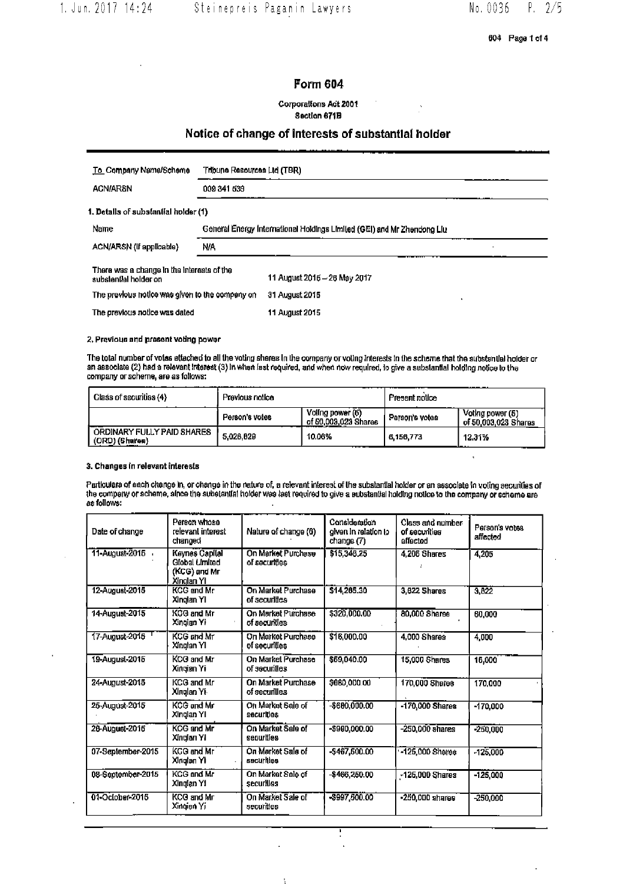604 Page 1 of 4

# Form 604

### Corporations Act 2001 Section 671B

# Notice of change of interests of substantial holder

| To Company Name/Scheme                                              | Tribune Resources Ltd (TBR).                                            |  |  |  |  |
|---------------------------------------------------------------------|-------------------------------------------------------------------------|--|--|--|--|
| <b>ACN/ARSN</b>                                                     | 009 341 539                                                             |  |  |  |  |
| 1. Details of substantial holder (1)                                |                                                                         |  |  |  |  |
| Name                                                                | General Energy International Holdings Limited (GEI) and Mr Zhendong Liu |  |  |  |  |
| ACN/ARSN (If applicable)                                            | N/A                                                                     |  |  |  |  |
| There was a change in the interests of the<br>substantial holder on | 11 August 2015 - 26 May 2017                                            |  |  |  |  |
| The previous notice was given to the company on                     | 31 August 2015<br>$\bullet$                                             |  |  |  |  |
| The previous notice was dated                                       | 11 August 2015                                                          |  |  |  |  |

2. Previous and present voting power

The total number of votes attached to all the voting sheres in the company or voting interests in the scheme that the substantial holder or<br>an associate (2) had a relevant interest (3) in when last required, and when now r company or scheme, are as follows:

| Class of securities (4)                      | Previous notice |                                          | Present notice |                                          |
|----------------------------------------------|-----------------|------------------------------------------|----------------|------------------------------------------|
|                                              | Person's votes  | Voting power (6)<br>of 50,003,023 Shares | Person's votes | Voting power (5)<br>of 50,003,023 Shares |
| ORDINARY FULLY PAID SHARES<br>(ORD) (Sharea) | 5.026.029       | 10.06%<br>.                              | 8.156.773      | 12.31%<br>.                              |

### 3. Changes in relevant interests

Particulars of sach change in, or change in the nature of, a relevant interest of the substantial holder or an associate in voting aecunties of<br>the company or scheme, since the substantial holder was last required to give as follows:

| Date of change    | Person whose<br>relevant interest<br>changed                          | Nature of change (6)                | Consideration<br>given in relation to<br>change (7) | <b>Class and number</b><br>of securities<br><b>Allacted</b> | Person's votes<br>affected |
|-------------------|-----------------------------------------------------------------------|-------------------------------------|-----------------------------------------------------|-------------------------------------------------------------|----------------------------|
| 11-August-2015    | <b>Keynes Capital</b><br>Global Limited<br>(KCG) and Mr<br>Xinolan Yi | On Market Purchase<br>of securities | \$15,348.25                                         | 4.205 Shares                                                | 4,205                      |
| 12-August-2015    | <b>KCG</b> and Mr<br>Xinglan Yi                                       | On Market Purchase<br>of securities | \$14,265.30                                         | 3.822 Shares                                                | 3.822                      |
| 14-August-2015    | KCG and Mr<br>Xingian Yi                                              | On Market Purchase<br>of aecunties. | \$320,000.00                                        | 80,000 Shares                                               | 60,000                     |
| 17-August-2015    | <b>KCG and Mr</b><br>Xinglan Yi                                       | On Market Purchase<br>of securilles | \$16,000.00                                         | 4.000 Shares                                                | 4,000                      |
| 19-August-2015    | KCG and Mr<br>Xingian Yi                                              | On Market Purchase<br>of securities | \$69,040.00                                         | 15,000 Shares                                               | 16,000                     |
| 24-August-2015    | <b>KCG and Mr</b><br>Xinglan Yi-                                      | On Market Purchase<br>of securilles | \$680,000.00                                        | 170,000 Shares                                              | 170,000                    |
| 25-August-2015    | KCG and Mr<br>Xinglan Yi                                              | On Market Sale of<br>securities     | $-$600,000.00$                                      | -170,000 Shares                                             | $-170,000$                 |
| 28-August-2016    | <b>KGG and Mr</b><br>Xingian Yi                                       | On Market Sale of<br>senurities     | -\$980,000.00                                       | $-250.000$ anares                                           | $-250,000$                 |
| 07-September-2015 | KCG and Mr<br>Xingtan Yil                                             | On Market Sala of<br>securities     | $-5467,600.00$                                      | -125,000 Shares                                             | $-125,000$                 |
| 08-September-2015 | <b>KCG and Mr</b><br>Xingian Yi                                       | On Market Sale of<br>securilles     | -\$466,250,00                                       | -125,000 Shares                                             | $-125.000$                 |
| 01-October-2015   | KCG and Mr<br>Xingian Yi                                              | On Market Sale of<br>securities     | $-$997,500.00$                                      | -250,000 shares                                             | $-250,000$                 |

÷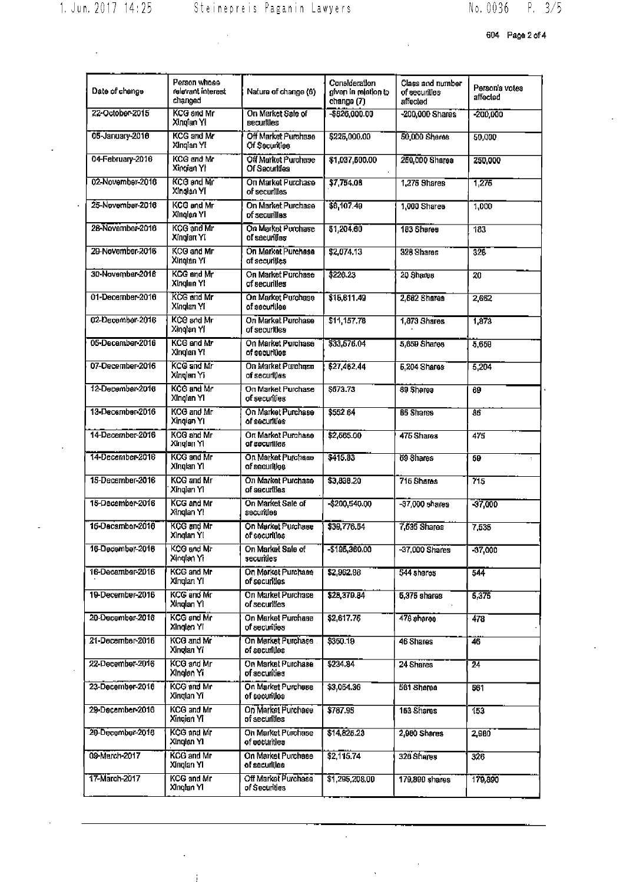$\hat{\mathcal{L}}$ 

 $\frac{1}{\sqrt{2}}\sum_{i=1}^{n} \frac{1}{i} \sum_{j=1}^{n} \frac{1}{j} \sum_{j=1}^{n} \frac{1}{j} \sum_{j=1}^{n} \frac{1}{j} \sum_{j=1}^{n} \frac{1}{j} \sum_{j=1}^{n} \frac{1}{j} \sum_{j=1}^{n} \frac{1}{j} \sum_{j=1}^{n} \frac{1}{j} \sum_{j=1}^{n} \frac{1}{j} \sum_{j=1}^{n} \frac{1}{j} \sum_{j=1}^{n} \frac{1}{j} \sum_{j=1}^{n} \frac{1}{j} \sum_{j=1$ 

604 Page 2 of 4

|                  | Person whose                    |                                         |                                                     |                                               |                            |
|------------------|---------------------------------|-----------------------------------------|-----------------------------------------------------|-----------------------------------------------|----------------------------|
| Date of change   | relevant interest<br>changed    | Nature of change (6)                    | Consideration<br>given in relation to<br>change (7) | Class and number<br>of securities<br>affected | Person's votes<br>affected |
| 22-October-2015  | <b>KCG and Mr</b><br>Xingfan Yi | On Market Sale of<br><b>Becurilles</b>  | $- $826,000.00$                                     | -200,000 Shares                               | $-200,000$                 |
| 05-January-2016  | <b>KCG and Mr</b><br>Xingian YI | Off Market Purchase<br>Of Securities    | \$225,000.00                                        | 50,000 Shares                                 | 50,000                     |
| 04-February-2016 | KCG and Mr<br>Xingian YI        | Off Market Purchase<br>Of Securities    | \$1,037,600.00                                      | 250,000 Shares                                | 250,000                    |
| 02-November-2016 | KCG and Mr<br>Xinglan YI        | On Market Purchase<br>of securilles     | \$7,754.08                                          | 1,275 Shares                                  | 1,275                      |
| 25-November-2016 | KCG and Mr<br>Xinglan YI        | On Market Purchase<br>of securilles     | \$6,107.49                                          | 1,000 Shares                                  | 1,000                      |
| 28-November-2016 | KCG and Mr<br>Xingian Yi        | On Market Purchase<br>of sacurilias     | 51,204.60                                           | 183 Shares                                    | 183                        |
| 20-November-2016 | KCG and Mr<br>Xinglan Yi        | On Market Purchase<br>of securities     | \$2,074.13                                          | 328 Shares                                    | 326                        |
| 30-November-2016 | <b>KCG</b> and Mr<br>Xinglan YI | On Market Purchase<br>of securilles     | \$226.23                                            | 20 Shares                                     | 20                         |
| 01-December-2016 | <b>KCG and Mr</b><br>Xinglan Yi | On Market Purchase<br>of securilles     | \$15,811.49                                         | 2,662 Sharas                                  | 2,662                      |
| 02-December-2016 | KCG and Mr<br>Xinglan Yi        | On Market Purchase<br>of securities     | \$11,157.78                                         | 1,873 Shares                                  | 1.873                      |
| 05-December-2016 | <b>KCG and Mr</b><br>Xinglan YI | On Market Purchase<br>of securities     | \$33.576.04                                         | 5,659 Shares                                  | 5,659                      |
| 07-December-2016 | KCG and Mr<br>Xinglan Yi        | On Market Purchase<br>of securilles     | \$27,462.44                                         | 5,204 Shares                                  | 5,204                      |
| 12-December-2016 | KCG and Mr<br>Xingian Yi        | On Market Purchase<br>of securilies     | \$673.73                                            | 89 Sharea                                     | 69                         |
| 13-December-2016 | KCG and Mr<br>Xingian YI        | On Market Purchase<br>al director of se | \$552.64                                            | 65 Shares                                     | 85                         |
| 14-December-2016 | KCG and Mr<br>Xingian Yi        | On Market Purchase<br>of securilles     | \$2,565.00                                          | 475 Shares                                    | 47 <sub>5</sub>            |
| 14-December-2016 | KCG and Mr<br>Xinglan YI        | On Market Purchase<br>aelinuos to       | \$415.33                                            | 69 Shares                                     | 69<br>÷.                   |
| 15-December-2016 | <b>KCG and Mr</b><br>Xingian YI | On Market Purchase<br>of securities     | \$3,838.20                                          | 715 Shares                                    | 715                        |
| 15-December-2016 | KCG and Mr<br>Xinglan Yl        | On Market Sale of<br>securities         | -\$200,540.00                                       | $-97,000$ shares                              | $-37,000$                  |
| 15-December-2016 | KGG and Mr<br>Xinglan Yi        | On Market Purchase<br>of securities     | \$39,776.54                                         | 7,636 Shares                                  | 7.535                      |
| 16-December-2016 | KCG and Mr<br>Xinglan Yi        | On Market Sale of<br>securities         | $-195,360.00$                                       | -37,000 Shares                                | $-37,000$                  |
| 16-December-2016 | <b>KCG and Mr</b><br>Xinglan YI | On Market Purchase<br>of secunities     | \$2.962.98                                          | 544 shares                                    | $54 +$                     |
| 19-December-2016 | KCG and Mr<br>Xinglan Yi        | On Market Purchase<br>of securities     | \$28,379.84                                         | 5.376 shares                                  | 5,375                      |
| 20-December-2016 | KCG and Mr<br>Xinglan Yi        | On Market Purchase<br>of securities     | \$2,617.75                                          | 478 ahares                                    | 478                        |
| 21-December-2016 | KCO and Mr<br>Xinglan Yi        | On Market Purchase<br>of securities     | \$360.19                                            | 46 Shares                                     | 46                         |
| 22-December-2016 | KCG and Mr<br>Xinglen Yi        | On Market Purchase<br>of securities     | \$234.84                                            | 24 Shares                                     | 24                         |
| 23 December 2016 | <b>KCG</b> and Mr<br>Xinglan Yi | On Market Purchase<br>eelinuoea lo      | \$3,054.36                                          | 561 Sharea                                    | 561                        |
| 29-December-2016 | <b>KCG and Mr</b><br>Xingian Yi | On Market Purchase<br>of securities     | \$787.95                                            | 153 Shares                                    | 153                        |
| 29-December-2016 | KCG and Mr<br>Xinglan Yi        | On Market Purchase<br>of eecurities     | \$14,825.23                                         | 2,980 Shares                                  | 2,980                      |
| 09-March-2017    | <b>KCG</b> and Mr<br>Xingian YI | On Market Purchase<br>of securities     | \$2,115.74                                          | 326 Shares                                    | 326                        |
| 17-March-2017    | <b>KCG and Mr</b><br>Xingian Yi | Off Market Purchase<br>of Securities    | \$1,295,208.00                                      | 179,890 shares                                | 170,890                    |
|                  |                                 |                                         |                                                     |                                               |                            |

 $\frac{1}{2}$ 

 $\mathbb{R}^2$ 

 $\hat{A}$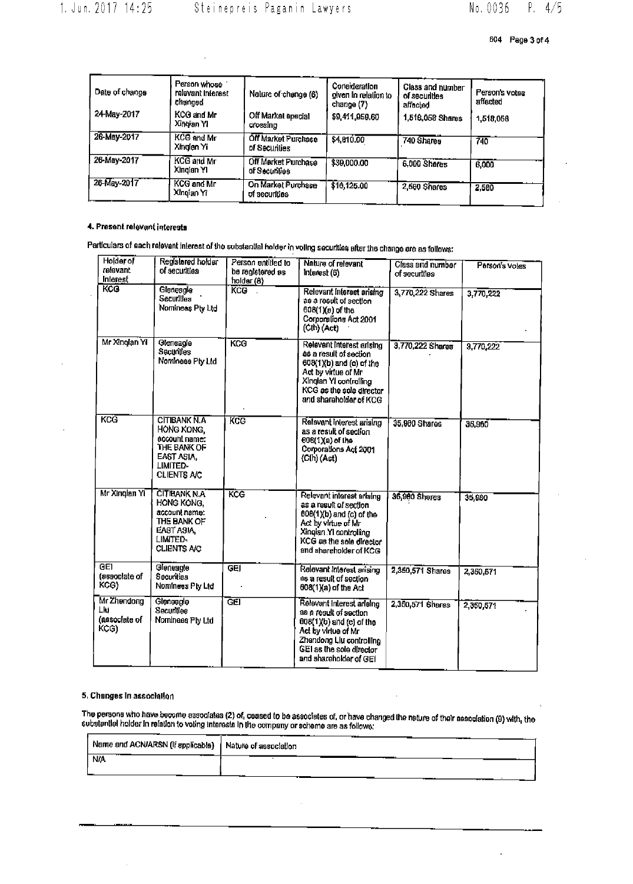| Date of change | Person whose<br>relevant interest<br>changed | Nature of change (6)                 | Consideration<br>given in relation to<br>change (7) | Class and number<br>of securities<br>affected | Person's votes<br>affacted |
|----------------|----------------------------------------------|--------------------------------------|-----------------------------------------------------|-----------------------------------------------|----------------------------|
| 24-May-2017    | KCG and Mr<br>Xingian YI.                    | Off Markal apacial<br>crossino       | \$9,411,959.60                                      | 1.516.058 Shams                               | 1,518,056                  |
| 26-May-2017    | KCG and Mr<br>Xinglan Yi                     | Off Market Purchase<br>of Securities | \$4,010.00                                          | 740 Shares                                    | 740                        |
| 26-May-2017    | KCG and Mr<br>Xinglan YI                     | Off Market Purchase<br>of Securities | \$39,000.00                                         | 6.000 Shares                                  | 6,000                      |
| 26-May-2017    | KCG and Mr<br>Xingian Yr                     | On Market Purchase<br>of securities  | \$16,125.00                                         | 2,580 Shares                                  | 2,500                      |

# 4. Present relevant interests

Particulars of each relevent interest of the substantial holder in volting securities after the change are as follows:

| Holder of<br>relevant<br><b>Interest</b>   | Registered holder<br>of securities                                                                                | Person entitled to<br>be registered as<br>holder (8) | Nature of relevant<br>Interest (6)                                                                                                                                                         | Class and number<br>of securities | Person's votes |
|--------------------------------------------|-------------------------------------------------------------------------------------------------------------------|------------------------------------------------------|--------------------------------------------------------------------------------------------------------------------------------------------------------------------------------------------|-----------------------------------|----------------|
| KCG                                        | Gleneagle<br>Securilles<br>Nomineas Pty Ltd                                                                       | <b>KCO</b>                                           | Relevant Interest arising<br>as a result of section<br>608(1)(a) of the<br>Corporations Act 2001<br>(Cth) (Act)                                                                            | 3,770,222 Shares                  | 3.770.222      |
| Mr Xînglan Yî                              | Gleneagle<br>Sacurities<br>Nomineee Pty Ltd                                                                       | KCG                                                  | Relevant Interest arising<br>as a result of section<br>608(1)(b) and (c) of the<br>Act by virtue of Mr<br>Xinglan YI controlling<br>KCG as the sole cirector<br>and shareholder of KCG     | 3,770,222 Shares                  | 3,770,222      |
| KCG                                        | <b>CITIBANK N.A</b><br>HONG KONG.<br>eccount name:<br>THE BANK OF<br>EAST ASIA.<br>LIMITED-<br><b>CLIENTS A/C</b> | KCC                                                  | Relevant interest ariaing<br>as a result of section<br>608(1)(a) of the<br>Corporations Act 2001<br>$(Ch)$ (Act)                                                                           | 35.980 Shares                     | 35,960         |
| Mr Xinglan Yi                              | <b>CITIBANK N.A</b><br>HONG KONG.<br>account name:<br>THE BANK OF<br>EAST ASIA,<br>LIMITED-<br><b>CLIENTS A/C</b> | KCG                                                  | Relevant interest arising<br>as a result of section<br>$608(1)(b)$ and $(c)$ of the<br>Act by virtue of Mr<br>Xingian YI controlling<br>KCG as the sole director<br>and shareholder of KCG | 36,980 Shares                     | 35,980         |
| <b>GET</b><br>(associate of<br>KCG)        | Gleneagle<br>Securities<br>Nominees Ply Ltd                                                                       | GEI                                                  | Relevant Interest arising<br>es a result of section<br>$008(1)(a)$ of the Act                                                                                                              | 2,350,571 Shares                  | 2,350,571      |
| Mr Zhendong<br>Lю<br>(associate of<br>KCG) | Gleneagle<br>Securities<br>Nominees Ply Ltd                                                                       | <b>GEI</b>                                           | Relevant Interest arielno<br>as a result of section<br>$008(1)(b)$ and (c) of the<br>Act by virtue of Mr<br>Zhendong Liu controlling<br>GEI as the sole director<br>and shareholder of GEI | 2,360,571 Shares                  | 2.350.671      |

### 5. Changes in association

The persons who have become associates (2) of, ceased to be associates of, or have changed the nature of their essociation (9) with, the<br>substantial holder in relation to voting interests in the company or scheme are as fo

| Name and ACN/ARSN (If applicable) / | --<br>Nature of association |
|-------------------------------------|-----------------------------|
| <b>N/A</b>                          |                             |
|                                     |                             |